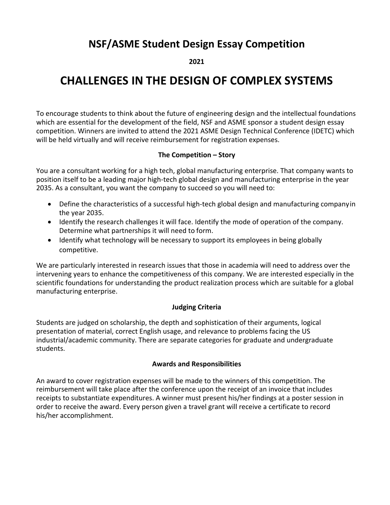## **NSF/ASME Student Design Essay Competition**

**2021**

# **CHALLENGES IN THE DESIGN OF COMPLEX SYSTEMS**

To encourage students to think about the future of engineering design and the intellectual foundations which are essential for the development of the field, NSF and ASME sponsor a student design essay competition. Winners are invited to attend the 2021 ASME Design Technical Conference (IDETC) which will be held virtually and will receive reimbursement for registration expenses.

#### **The Competition – Story**

You are a consultant working for a high tech, global manufacturing enterprise. That company wants to position itself to be a leading major high‐tech global design and manufacturing enterprise in the year 2035. As a consultant, you want the company to succeed so you will need to:

- Define the characteristics of a successful high-tech global design and manufacturing companyin the year 2035.
- Identify the research challenges it will face. Identify the mode of operation of the company. Determine what partnerships it will need to form.
- Identify what technology will be necessary to support its employees in being globally competitive.

We are particularly interested in research issues that those in academia will need to address over the intervening years to enhance the competitiveness of this company. We are interested especially in the scientific foundations for understanding the product realization process which are suitable for a global manufacturing enterprise.

## **Judging Criteria**

Students are judged on scholarship, the depth and sophistication of their arguments, logical presentation of material, correct English usage, and relevance to problems facing the US industrial/academic community. There are separate categories for graduate and undergraduate students.

#### **Awards and Responsibilities**

An award to cover registration expenses will be made to the winners of this competition. The reimbursement will take place after the conference upon the receipt of an invoice that includes receipts to substantiate expenditures. A winner must present his/her findings at a poster session in order to receive the award. Every person given a travel grant will receive a certificate to record his/her accomplishment.